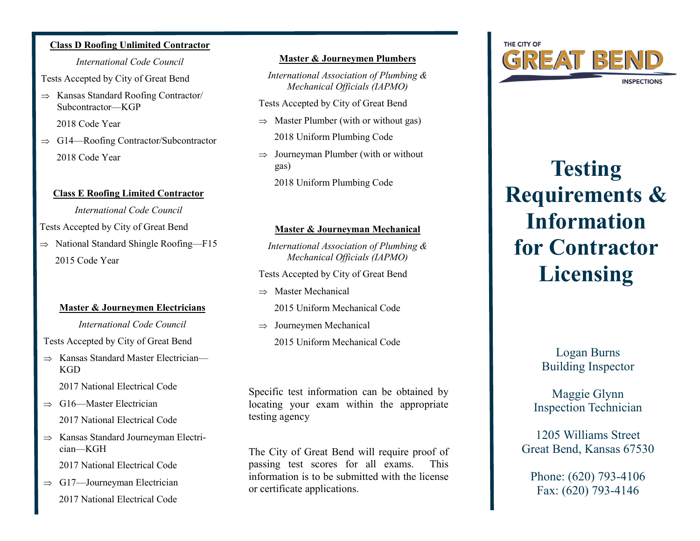## **Class D Roofing Unlimited Contractor** *International Code Council*

Tests Accepted by City of Great Bend

 $\Rightarrow$  Kansas Standard Roofing Contractor Subcontractor—KGP

2018 Code Year

 $\Rightarrow$  G14—Roofing Contractor/Subcontractor 2018 Code Year

## **Class E Roofing Limited Contractor**

*International Code Council*

Tests Accepted by City of Great Bend

 $\Rightarrow$  National Standard Shingle Roofing—F15 2015 Code Year

## **Master & Journeymen Electricians**

*International Code Council*

Tests Accepted by City of Great Bend

 $\Rightarrow$  Kansas Standard Master Electrician— **KGD** 

2017 National Electrical Code

- $\Rightarrow$  G16—Master Electrician 2017 National Electrical Code
- $\Rightarrow$  Kansas Standard Journeyman Electrician—KGH

2017 National Electrical Code

 $\Rightarrow$  G17—Journeyman Electrician 2017 National Electrical Code

## **Master & Journeymen Plumbers**

*International Association of Plumbing & Mechanical Officials (IAPMO)*

Tests Accepted by City of Great Bend

- $\Rightarrow$  Master Plumber (with or without gas)
	- 2018 Uniform Plumbing Code
- $\Rightarrow$  Journeyman Plumber (with or without gas)

2018 Uniform Plumbing Code

# **Master & Journeyman Mechanical**

*International Association of Plumbing & Mechanical Officials (IAPMO)*

Tests Accepted by City of Great Bend

- $\Rightarrow$  Master Mechanical 2015 Uniform Mechanical Code
- $\Rightarrow$  Journeymen Mechanical 2015 Uniform Mechanical Code

Specific test information can be obtained by locating your exam within the appropriate testing agency

The City of Great Bend will require proof of passing test scores for all exams. This information is to be submitted with the license or certificate applications.



# **Testing Requirements & Information for Contractor Licensing**

Logan Burns Building Inspector

Maggie Glynn Inspection Technician

1205 Williams Street Great Bend, Kansas 67530

Phone: (620) 793-4106 Fax: (620) 793-4146